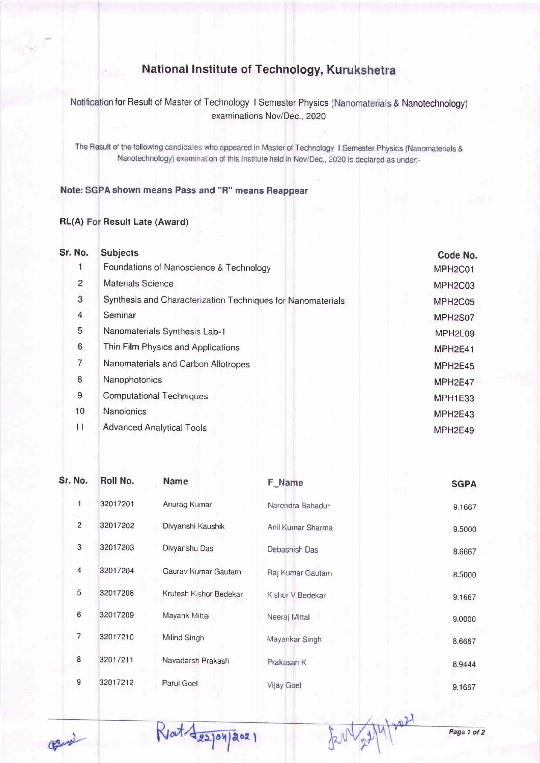## National lnstitute of Technology, Ku

for Result of Master of Technology 1 Semester Physics (Nanomaterials & Nanotechnology examinations Nov/Dec., 2020

The Result of the following candidates who appeared in Master of Technology 1 Semester Physics (Nanomaterials & Nanotechnology) examination of this Institute held in Nov/Dec., 2020 is declared as under:-

Note: SGPA shown means Pass and "R" means Reappear

## RL(A) For Result Late (Award)

| Sr. No.                 | <b>Subjects</b>                                             | Code No.                         |  |  |  |
|-------------------------|-------------------------------------------------------------|----------------------------------|--|--|--|
|                         | Foundations of Nanoscience & Technology                     | MPH <sub>2</sub> C <sub>01</sub> |  |  |  |
| 2                       | <b>Materials Science</b>                                    | MPH2C03                          |  |  |  |
| 3                       | Synthesis and Characterization Techniques for Nanomaterials |                                  |  |  |  |
| $\overline{\mathbf{4}}$ | Seminar                                                     | MPH2S07                          |  |  |  |
| 5                       | Nanomaterials Synthesis Lab-1                               | MPH <sub>2L09</sub>              |  |  |  |
| 6                       | Thin Film Physics and Applications                          | MPH2E41                          |  |  |  |
| 7                       | Nanomaterials and Carbon Allotropes                         | MPH2E45                          |  |  |  |
| 8                       | Nanophotonics                                               | MPH2E47                          |  |  |  |
| 9                       | <b>Computational Techniques</b>                             | <b>MPH1E33</b>                   |  |  |  |
| 10                      | Nanoionics                                                  | MPH2E43                          |  |  |  |
| 11                      | <b>Advanced Analytical Tools</b>                            | MPH2E49                          |  |  |  |
|                         |                                                             |                                  |  |  |  |

| Sr. No.        | Roll No. | Name                   | F Name            | <b>SGPA</b> |
|----------------|----------|------------------------|-------------------|-------------|
| 1              | 32017201 | Anurag Kumar           | Narendra Bahadur  | 9.1667      |
| $\overline{c}$ | 32017202 | Divyanshi Kaushik      | Anil Kumar Sharma | 9.5000      |
| 3              | 32017203 | Divyanshu Das          | Debashish Das     | 8.6667      |
| $\overline{4}$ | 32017204 | Gaurav Kumar Gautam    | Raj Kumar Gautam  | 8.5000      |
| 5              | 32017208 | Krutesh Kishor Bedekar | Kishor V Bedekar  | 9.1667      |
| 6              | 32017209 | Mayank Mittal          | Neeraj Mittal     | 9.0000      |
| 7              | 32017210 | Milind Singh           | Mayankar Singh    | 8.6667      |
| 8              | 32017211 | Navadarsh Prakash      | Prakasan K        | 8.9444      |
| 9              | 32017212 | Parul Goel             | Vijay Goel        | 9.1667      |

Reat Asspay 2021

Court

Page 1 of 2

tent 22/4/2021